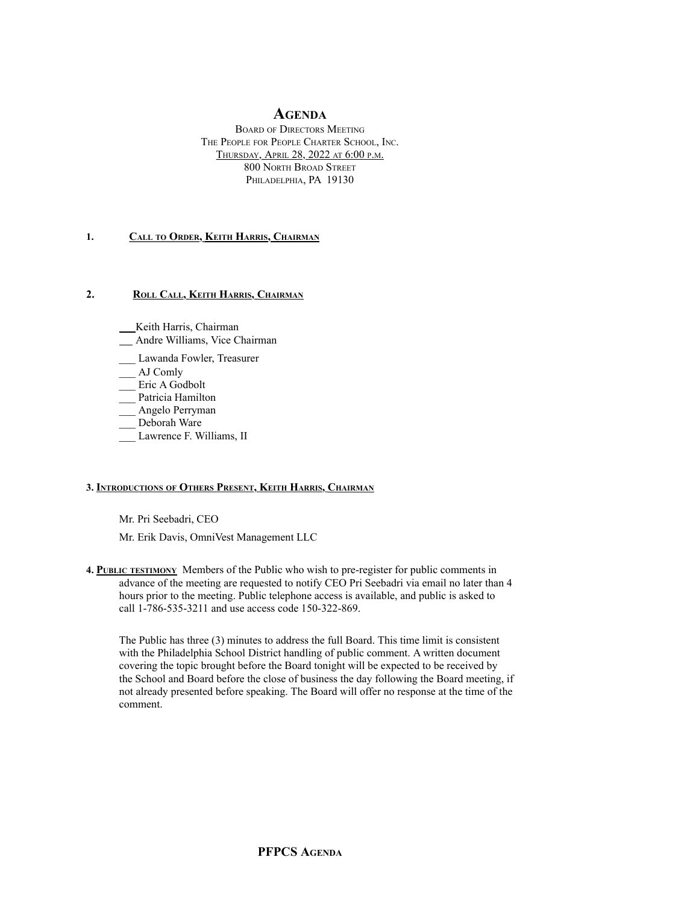# **AGENDA**

BOARD OF DIRECTORS MEETING THE PEOPLE FOR PEOPLE CHARTER SCHOOL, INC. THURSDAY, APRIL 28, 2022 AT 6:00 P.M. 800 NORTH BROAD STREET PHILADELPHIA, PA 19130

#### **1. CALL TO ORDER, KEITH HARRIS, CHAIRMAN**

## 2. ROLL CALL, KEITH HARRIS, CHAIRMAN

- Keith Harris, Chairman
- Andre Williams, Vice Chairman
- \_\_\_ Lawanda Fowler, Treasurer
- \_\_\_ AJ Comly
- \_\_\_ Eric A Godbolt
- Patricia Hamilton
- Angelo Perryman
- Deborah Ware
- Lawrence F. Williams, II

## **3. INTRODUCTIONS OF OTHERS PRESENT, KEITH HARRIS, CHAIRMAN**

Mr. Pri Seebadri, CEO

Mr. Erik Davis, OmniVest Management LLC

**4. PUBLIC TESTIMONY** Members of the Public who wish to pre-register for public comments in advance of the meeting are requested to notify CEO Pri Seebadri via email no later than 4 hours prior to the meeting. Public telephone access is available, and public is asked to call 1-786-535-3211 and use access code 150-322-869.

The Public has three (3) minutes to address the full Board. This time limit is consistent with the Philadelphia School District handling of public comment. A written document covering the topic brought before the Board tonight will be expected to be received by the School and Board before the close of business the day following the Board meeting, if not already presented before speaking. The Board will offer no response at the time of the comment.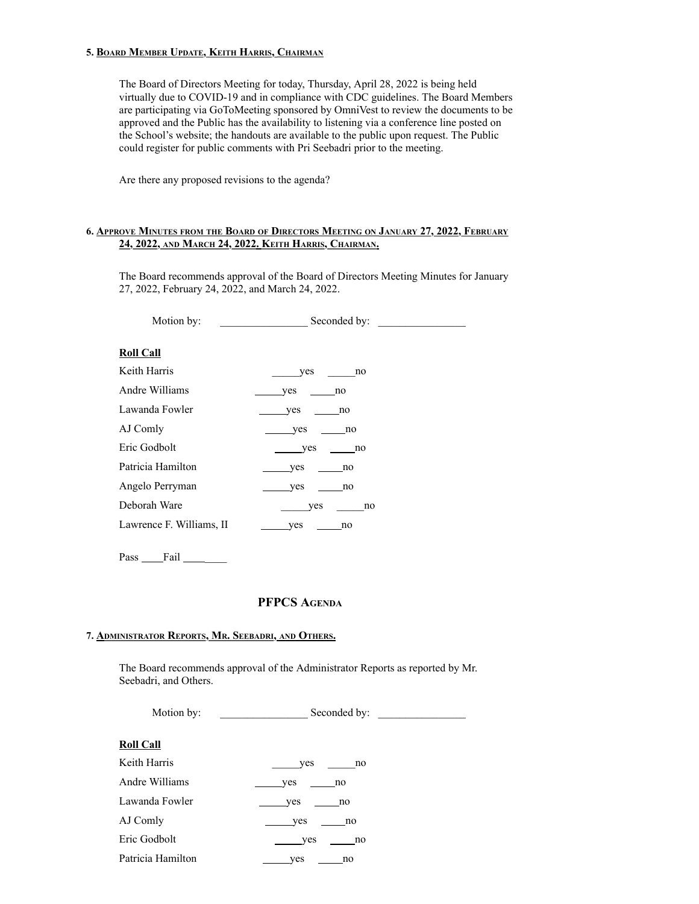#### **5. BOARD MEMBER UPDATE, KEITH HARRIS, CHAIRMAN**

The Board of Directors Meeting for today, Thursday, April 28, 2022 is being held virtually due to COVID-19 and in compliance with CDC guidelines. The Board Members are participating via GoToMeeting sponsored by OmniVest to review the documents to be approved and the Public has the availability to listening via a conference line posted on the School's website; the handouts are available to the public upon request. The Public could register for public comments with Pri Seebadri prior to the meeting.

Are there any proposed revisions to the agenda?

#### **6. APPROVE MINUTES FROM THE BOARD OF DIRECTORS MEETING ON JANUARY 27, 2022, FEBRUARY 24, 2022, AND MARCH 24, 2022. KEITH HARRIS, CHAIRMAN.**

The Board recommends approval of the Board of Directors Meeting Minutes for January 27, 2022, February 24, 2022, and March 24, 2022.

Motion by: \_\_\_\_\_\_\_\_\_\_\_\_\_\_\_\_ Seconded by: \_\_\_\_\_\_\_\_\_\_\_\_\_\_\_\_ **Roll Call** Keith Harris \_\_\_\_\_\_\_\_\_yes \_\_\_\_\_\_no Andre Williams yes no

| Andre Williams           | ves<br>$\overline{110}$ |
|--------------------------|-------------------------|
| Lawanda Fowler           | yes<br>no               |
| AJ Comly                 | yes<br>no               |
| Eric Godbolt             | yes<br>no               |
| Patricia Hamilton        | <b>ves</b><br>no        |
| Angelo Perryman          | ves<br>no               |
| Deborah Ware             | no<br>yes               |
| Lawrence F. Williams, II | ves<br>no               |

Pass \_\_\_\_\_Fail \_\_\_\_\_

# **PFPCS AGENDA**

#### **7. ADMINISTRATOR REPORTS, MR. SEEBADRI, AND OTHERS.**

The Board recommends approval of the Administrator Reports as reported by Mr. Seebadri, and Others.

| Motion by:        | Seconded by: |  |
|-------------------|--------------|--|
| <b>Roll Call</b>  |              |  |
| Keith Harris      | yes<br>no    |  |
| Andre Williams    | yes<br>no    |  |
| Lawanda Fowler    | yes<br>no    |  |
| AJ Comly          | yes<br>no    |  |
| Eric Godbolt      | ves<br>no    |  |
| Patricia Hamilton | yes<br>no    |  |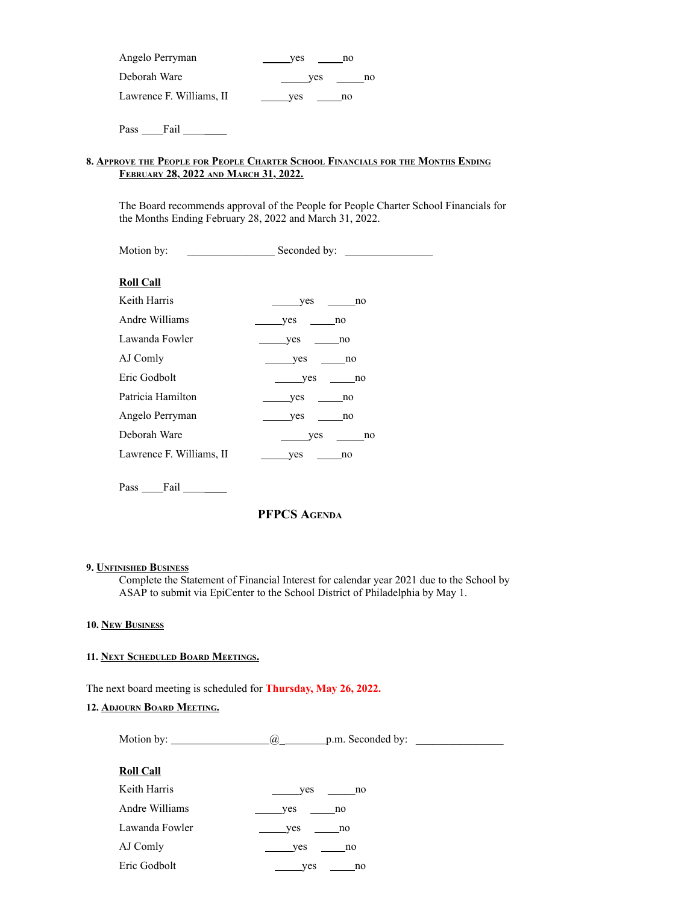| Angelo Perryman          | ves | no |
|--------------------------|-----|----|
| Deborah Ware             | ves | no |
| Lawrence F. Williams, II | ves | no |

Pass Fail

## **8. APPROVE THE PEOPLE FOR PEOPLE CHARTER SCHOOL FINANCIALS FOR THE MONTHS ENDING FEBRUARY 28, 2022 AND MARCH 31, 2022.**

The Board recommends approval of the People for People Charter School Financials for the Months Ending February 28, 2022 and March 31, 2022.

| Motion by:               | Seconded by:     |
|--------------------------|------------------|
| <b>Roll Call</b>         |                  |
| Keith Harris             | yes<br>no        |
| Andre Williams           | yes<br>no        |
| Lawanda Fowler           | <b>yes</b><br>no |
| AJ Comly                 | yes<br>no        |
| Eric Godbolt             | yes<br>no        |
| Patricia Hamilton        | yes<br>no        |
| Angelo Perryman          | yes<br>no        |
| Deborah Ware             | yes<br>no        |
| Lawrence F. Williams, II | yes<br>no        |
|                          |                  |

Pass Fail Fail

# **PFPCS AGENDA**

#### **9. UNFINISHED BUSINESS**

Complete the Statement of Financial Interest for calendar year 2021 due to the School by ASAP to submit via EpiCenter to the School District of Philadelphia by May 1.

### **10. NEW BUSINESS**

# **11. NEXT SCHEDULED BOARD MEETINGS.**

The next board meeting is scheduled for **Thursday, May 26, 2022.**

## **12. ADJOURN BOARD MEETING.**

Motion by:  $\qquad \qquad \qquad$   $\qquad \qquad$   $\qquad \qquad$   $\qquad \qquad$   $\qquad \qquad$   $\qquad \qquad$   $\qquad \qquad$   $\qquad \qquad$   $\qquad \qquad$   $\qquad \qquad$   $\qquad \qquad$   $\qquad \qquad$   $\qquad \qquad$   $\qquad \qquad$   $\qquad \qquad$   $\qquad \qquad$   $\qquad \qquad$   $\qquad \qquad$   $\qquad \qquad$   $\qquad \qquad$   $\qquad \qquad$   $\qquad \qquad \qquad$   $\qquad \q$ 

| <b>Roll Call</b> |           |
|------------------|-----------|
| Keith Harris     | no<br>yes |
| Andre Williams   | yes<br>no |
| Lawanda Fowler   | yes<br>no |
| AJ Comly         | yes<br>no |
| Eric Godbolt     | ves<br>no |